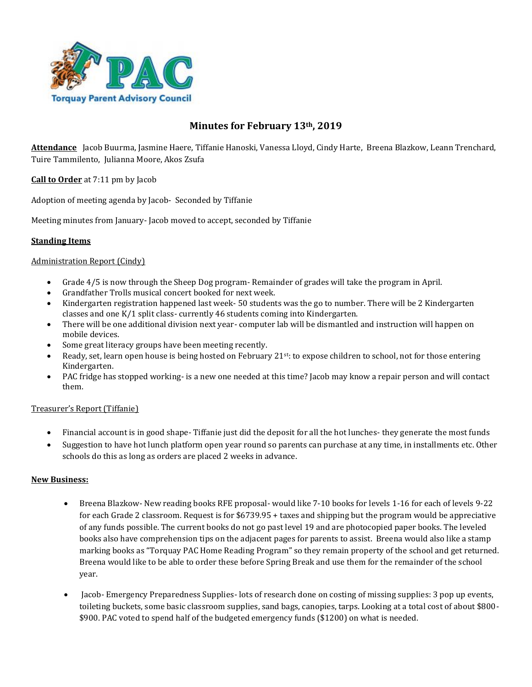

# **Minutes for February 13th, 2019**

**Attendance** Jacob Buurma, Jasmine Haere, Tiffanie Hanoski, Vanessa Lloyd, Cindy Harte, Breena Blazkow, Leann Trenchard, Tuire Tammilento, Julianna Moore, Akos Zsufa

**Call to Order** at 7:11 pm by Jacob

Adoption of meeting agenda by Jacob- Seconded by Tiffanie

Meeting minutes from January- Jacob moved to accept, seconded by Tiffanie

# **Standing Items**

# Administration Report (Cindy)

- Grade 4/5 is now through the Sheep Dog program- Remainder of grades will take the program in April.
- Grandfather Trolls musical concert booked for next week.
- Kindergarten registration happened last week- 50 students was the go to number. There will be 2 Kindergarten classes and one K/1 split class- currently 46 students coming into Kindergarten.
- There will be one additional division next year- computer lab will be dismantled and instruction will happen on mobile devices.
- Some great literacy groups have been meeting recently.
- Ready, set, learn open house is being hosted on February 21<sup>st</sup>: to expose children to school, not for those entering Kindergarten.
- PAC fridge has stopped working- is a new one needed at this time? Jacob may know a repair person and will contact them.

### Treasurer's Report (Tiffanie)

- Financial account is in good shape- Tiffanie just did the deposit for all the hot lunches- they generate the most funds
- Suggestion to have hot lunch platform open year round so parents can purchase at any time, in installments etc. Other schools do this as long as orders are placed 2 weeks in advance.

### **New Business:**

- Breena Blazkow- New reading books RFE proposal- would like 7-10 books for levels 1-16 for each of levels 9-22 for each Grade 2 classroom. Request is for \$6739.95 + taxes and shipping but the program would be appreciative of any funds possible. The current books do not go past level 19 and are photocopied paper books. The leveled books also have comprehension tips on the adjacent pages for parents to assist. Breena would also like a stamp marking books as "Torquay PAC Home Reading Program" so they remain property of the school and get returned. Breena would like to be able to order these before Spring Break and use them for the remainder of the school year.
- Jacob- Emergency Preparedness Supplies- lots of research done on costing of missing supplies: 3 pop up events, toileting buckets, some basic classroom supplies, sand bags, canopies, tarps. Looking at a total cost of about \$800- \$900. PAC voted to spend half of the budgeted emergency funds (\$1200) on what is needed.